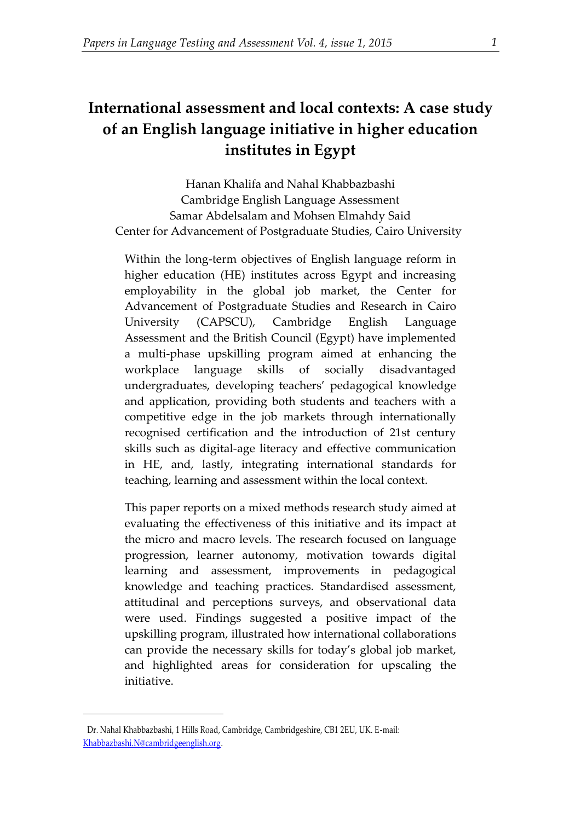# **International assessment and local contexts: A case study of an English language initiative in higher education institutes in Egypt**

Hanan Khalifa and Nahal Khabbazbashi Cambridge English Language Assessment Samar Abdelsalam and Mohsen Elmahdy Said Center for Advancement of Postgraduate Studies, Cairo University

Within the long-term objectives of English language reform in higher education (HE) institutes across Egypt and increasing employability in the global job market, the Center for Advancement of Postgraduate Studies and Research in Cairo University (CAPSCU), Cambridge English Language Assessment and the British Council (Egypt) have implemented a multi-phase upskilling program aimed at enhancing the workplace language skills of socially disadvantaged undergraduates, developing teachers' pedagogical knowledge and application, providing both students and teachers with a competitive edge in the job markets through internationally recognised certification and the introduction of 21st century skills such as digital-age literacy and effective communication in HE, and, lastly, integrating international standards for teaching, learning and assessment within the local context.

This paper reports on a mixed methods research study aimed at evaluating the effectiveness of this initiative and its impact at the micro and macro levels. The research focused on language progression, learner autonomy, motivation towards digital learning and assessment, improvements in pedagogical knowledge and teaching practices. Standardised assessment, attitudinal and perceptions surveys, and observational data were used. Findings suggested a positive impact of the upskilling program, illustrated how international collaborations can provide the necessary skills for today's global job market, and highlighted areas for consideration for upscaling the initiative.

1

<sup>1</sup> Dr. Nahal Khabbazbashi, 1 Hills Road, Cambridge, Cambridgeshire, CB1 2EU, UK. E-mail: [Khabbazbashi.N@cambridgeenglish.org.](mailto:Khabbazbashi.N@cambridgeenglish.org)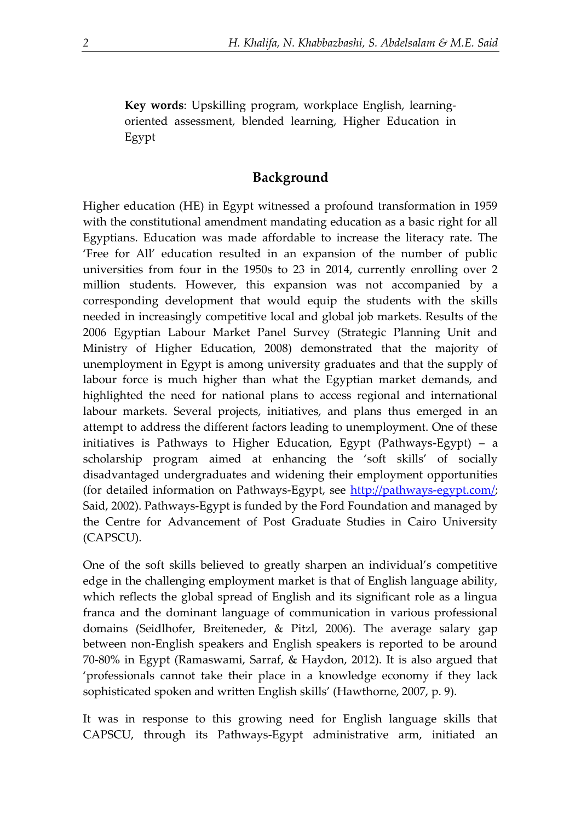**Key words**: Upskilling program, workplace English, learningoriented assessment, blended learning, Higher Education in Egypt

## **Background**

Higher education (HE) in Egypt witnessed a profound transformation in 1959 with the constitutional amendment mandating education as a basic right for all Egyptians. Education was made affordable to increase the literacy rate. The 'Free for All' education resulted in an expansion of the number of public universities from four in the 1950s to 23 in 2014, currently enrolling over 2 million students. However, this expansion was not accompanied by a corresponding development that would equip the students with the skills needed in increasingly competitive local and global job markets. Results of the 2006 Egyptian Labour Market Panel Survey (Strategic Planning Unit and Ministry of Higher Education, 2008) demonstrated that the majority of unemployment in Egypt is among university graduates and that the supply of labour force is much higher than what the Egyptian market demands, and highlighted the need for national plans to access regional and international labour markets. Several projects, initiatives, and plans thus emerged in an attempt to address the different factors leading to unemployment. One of these initiatives is Pathways to Higher Education, Egypt (Pathways-Egypt) – a scholarship program aimed at enhancing the 'soft skills' of socially disadvantaged undergraduates and widening their employment opportunities (for detailed information on Pathways-Egypt, see [http://pathways-egypt.com/;](http://pathways-egypt.com/) Said, 2002). Pathways-Egypt is funded by the Ford Foundation and managed by the Centre for Advancement of Post Graduate Studies in Cairo University (CAPSCU).

One of the soft skills believed to greatly sharpen an individual's competitive edge in the challenging employment market is that of English language ability, which reflects the global spread of English and its significant role as a lingua franca and the dominant language of communication in various professional domains (Seidlhofer, Breiteneder, & Pitzl, 2006). The average salary gap between non-English speakers and English speakers is reported to be around 70-80% in Egypt (Ramaswami, Sarraf, & Haydon, 2012). It is also argued that 'professionals cannot take their place in a knowledge economy if they lack sophisticated spoken and written English skills' (Hawthorne, 2007, p. 9).

It was in response to this growing need for English language skills that CAPSCU, through its Pathways-Egypt administrative arm, initiated an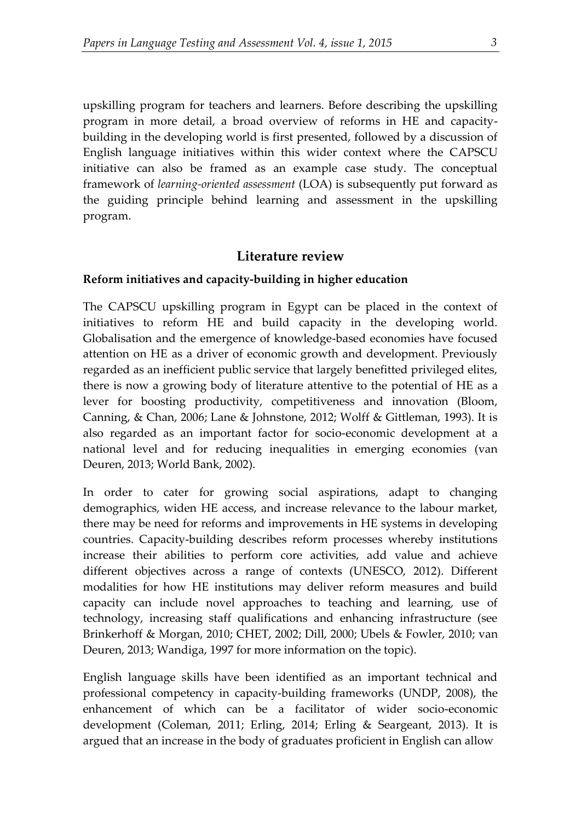upskilling program for teachers and learners. Before describing the upskilling program in more detail, a broad overview of reforms in HE and capacitybuilding in the developing world is first presented, followed by a discussion of English language initiatives within this wider context where the CAPSCU initiative can also be framed as an example case study. The conceptual framework of *learning-oriented assessment* (LOA) is subsequently put forward as the guiding principle behind learning and assessment in the upskilling program.

#### **Literature review**

#### **Reform initiatives and capacity-building in higher education**

The CAPSCU upskilling program in Egypt can be placed in the context of initiatives to reform HE and build capacity in the developing world. Globalisation and the emergence of knowledge-based economies have focused attention on HE as a driver of economic growth and development. Previously regarded as an inefficient public service that largely benefitted privileged elites, there is now a growing body of literature attentive to the potential of HE as a lever for boosting productivity, competitiveness and innovation (Bloom, Canning, & Chan, 2006; Lane & Johnstone, 2012; Wolff & Gittleman, 1993). It is also regarded as an important factor for socio-economic development at a national level and for reducing inequalities in emerging economies (van Deuren, 2013; World Bank, 2002).

In order to cater for growing social aspirations, adapt to changing demographics, widen HE access, and increase relevance to the labour market, there may be need for reforms and improvements in HE systems in developing countries. Capacity-building describes reform processes whereby institutions increase their abilities to perform core activities, add value and achieve different objectives across a range of contexts (UNESCO, 2012). Different modalities for how HE institutions may deliver reform measures and build capacity can include novel approaches to teaching and learning, use of technology, increasing staff qualifications and enhancing infrastructure (see Brinkerhoff & Morgan, 2010; CHET, 2002; Dill, 2000; Ubels & Fowler, 2010; van Deuren, 2013; Wandiga, 1997 for more information on the topic).

English language skills have been identified as an important technical and professional competency in capacity-building frameworks (UNDP, 2008), the enhancement of which can be a facilitator of wider socio-economic development (Coleman, 2011; Erling, 2014; Erling & Seargeant, 2013). It is argued that an increase in the body of graduates proficient in English can allow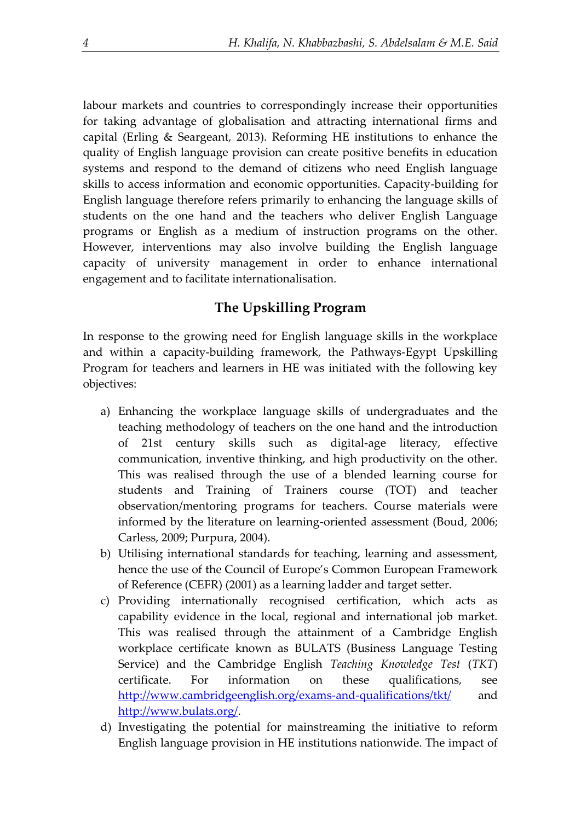labour markets and countries to correspondingly increase their opportunities for taking advantage of globalisation and attracting international firms and capital (Erling & Seargeant, 2013). Reforming HE institutions to enhance the quality of English language provision can create positive benefits in education systems and respond to the demand of citizens who need English language skills to access information and economic opportunities. Capacity-building for English language therefore refers primarily to enhancing the language skills of students on the one hand and the teachers who deliver English Language programs or English as a medium of instruction programs on the other. However, interventions may also involve building the English language capacity of university management in order to enhance international engagement and to facilitate internationalisation.

## **The Upskilling Program**

In response to the growing need for English language skills in the workplace and within a capacity-building framework, the Pathways-Egypt Upskilling Program for teachers and learners in HE was initiated with the following key objectives:

- a) Enhancing the workplace language skills of undergraduates and the teaching methodology of teachers on the one hand and the introduction of 21st century skills such as digital-age literacy, effective communication, inventive thinking, and high productivity on the other. This was realised through the use of a blended learning course for students and Training of Trainers course (TOT) and teacher observation/mentoring programs for teachers. Course materials were informed by the literature on learning-oriented assessment (Boud, 2006; Carless, 2009; Purpura, 2004).
- b) Utilising international standards for teaching, learning and assessment, hence the use of the Council of Europe's Common European Framework of Reference (CEFR) (2001) as a learning ladder and target setter.
- c) Providing internationally recognised certification, which acts as capability evidence in the local, regional and international job market. This was realised through the attainment of a Cambridge English workplace certificate known as BULATS (Business Language Testing Service) and the Cambridge English *Teaching Knowledge Test* (*TKT*) certificate. For information on these qualifications, see <http://www.cambridgeenglish.org/exams-and-qualifications/tkt/> and [http://www.bulats.org/.](http://www.bulats.org/)
- d) Investigating the potential for mainstreaming the initiative to reform English language provision in HE institutions nationwide. The impact of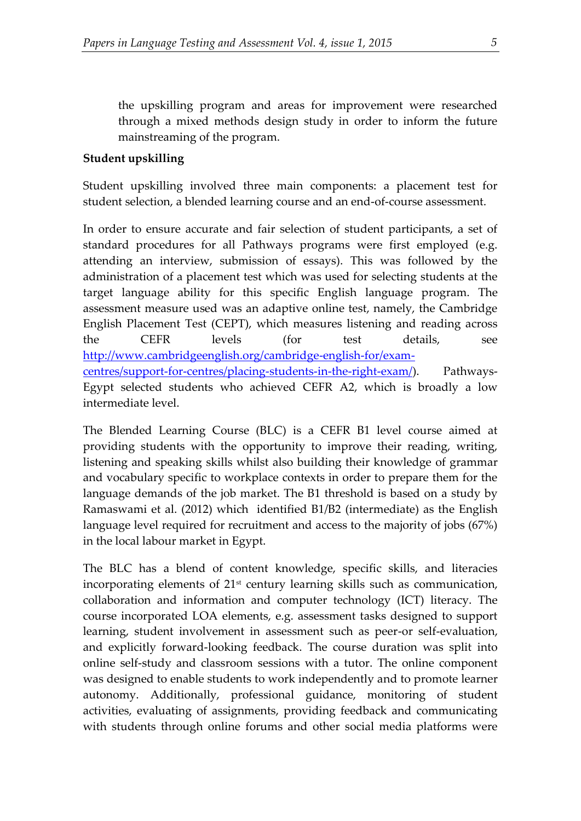the upskilling program and areas for improvement were researched through a mixed methods design study in order to inform the future mainstreaming of the program.

## **Student upskilling**

Student upskilling involved three main components: a placement test for student selection, a blended learning course and an end-of-course assessment.

In order to ensure accurate and fair selection of student participants, a set of standard procedures for all Pathways programs were first employed (e.g. attending an interview, submission of essays). This was followed by the administration of a placement test which was used for selecting students at the target language ability for this specific English language program. The assessment measure used was an adaptive online test, namely, the Cambridge English Placement Test (CEPT), which measures listening and reading across the CEFR levels (for test details, see [http://www.cambridgeenglish.org/cambridge-english-for/exam](http://www.cambridgeenglish.org/cambridge-english-for/exam-centres/support-for-centres/placing-students-in-the-right-exam/)[centres/support-for-centres/placing-students-in-the-right-exam/\)](http://www.cambridgeenglish.org/cambridge-english-for/exam-centres/support-for-centres/placing-students-in-the-right-exam/). Pathways-Egypt selected students who achieved CEFR A2, which is broadly a low intermediate level.

The Blended Learning Course (BLC) is a CEFR B1 level course aimed at providing students with the opportunity to improve their reading, writing, listening and speaking skills whilst also building their knowledge of grammar and vocabulary specific to workplace contexts in order to prepare them for the language demands of the job market. The B1 threshold is based on a study by Ramaswami et al. (2012) which identified B1/B2 (intermediate) as the English language level required for recruitment and access to the majority of jobs (67%) in the local labour market in Egypt.

The BLC has a blend of content knowledge, specific skills, and literacies incorporating elements of 21<sup>st</sup> century learning skills such as communication, collaboration and information and computer technology (ICT) literacy. The course incorporated LOA elements, e.g. assessment tasks designed to support learning, student involvement in assessment such as peer-or self-evaluation, and explicitly forward-looking feedback. The course duration was split into online self-study and classroom sessions with a tutor. The online component was designed to enable students to work independently and to promote learner autonomy. Additionally, professional guidance, monitoring of student activities, evaluating of assignments, providing feedback and communicating with students through online forums and other social media platforms were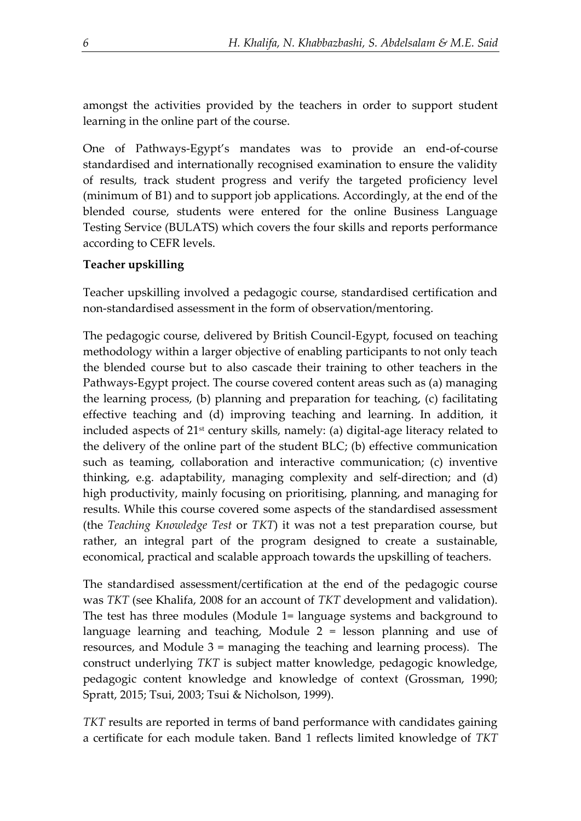amongst the activities provided by the teachers in order to support student learning in the online part of the course.

One of Pathways-Egypt's mandates was to provide an end-of-course standardised and internationally recognised examination to ensure the validity of results, track student progress and verify the targeted proficiency level (minimum of B1) and to support job applications. Accordingly, at the end of the blended course, students were entered for the online Business Language Testing Service (BULATS) which covers the four skills and reports performance according to CEFR levels.

## **Teacher upskilling**

Teacher upskilling involved a pedagogic course, standardised certification and non-standardised assessment in the form of observation/mentoring.

The pedagogic course, delivered by British Council-Egypt, focused on teaching methodology within a larger objective of enabling participants to not only teach the blended course but to also cascade their training to other teachers in the Pathways-Egypt project. The course covered content areas such as (a) managing the learning process, (b) planning and preparation for teaching, (c) facilitating effective teaching and (d) improving teaching and learning. In addition, it included aspects of 21st century skills, namely: (a) digital-age literacy related to the delivery of the online part of the student BLC; (b) effective communication such as teaming, collaboration and interactive communication; (c) inventive thinking, e.g. adaptability, managing complexity and self-direction; and (d) high productivity, mainly focusing on prioritising, planning, and managing for results. While this course covered some aspects of the standardised assessment (the *Teaching Knowledge Test* or *TKT*) it was not a test preparation course, but rather, an integral part of the program designed to create a sustainable, economical, practical and scalable approach towards the upskilling of teachers.

The standardised assessment/certification at the end of the pedagogic course was *TKT* (see Khalifa, 2008 for an account of *TKT* development and validation). The test has three modules (Module 1= language systems and background to language learning and teaching, Module 2 = lesson planning and use of resources, and Module 3 = managing the teaching and learning process). The construct underlying *TKT* is subject matter knowledge, pedagogic knowledge, pedagogic content knowledge and knowledge of context (Grossman, 1990; Spratt, 2015; Tsui, 2003; Tsui & Nicholson, 1999).

*TKT* results are reported in terms of band performance with candidates gaining a certificate for each module taken. Band 1 reflects limited knowledge of *TKT*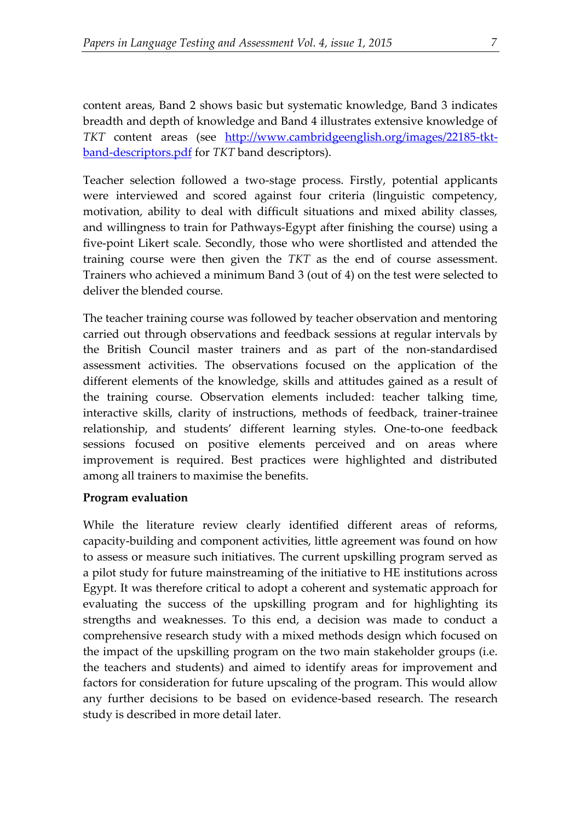content areas, Band 2 shows basic but systematic knowledge, Band 3 indicates breadth and depth of knowledge and Band 4 illustrates extensive knowledge of *TKT* content areas (see [http://www.cambridgeenglish.org/images/22185-tkt](http://www.cambridgeenglish.org/images/22185-tkt-band-descriptors.pdf)[band-descriptors.pdf](http://www.cambridgeenglish.org/images/22185-tkt-band-descriptors.pdf) for *TKT* band descriptors).

Teacher selection followed a two-stage process. Firstly, potential applicants were interviewed and scored against four criteria (linguistic competency, motivation, ability to deal with difficult situations and mixed ability classes, and willingness to train for Pathways-Egypt after finishing the course) using a five-point Likert scale. Secondly, those who were shortlisted and attended the training course were then given the *TKT* as the end of course assessment. Trainers who achieved a minimum Band 3 (out of 4) on the test were selected to deliver the blended course.

The teacher training course was followed by teacher observation and mentoring carried out through observations and feedback sessions at regular intervals by the British Council master trainers and as part of the non-standardised assessment activities. The observations focused on the application of the different elements of the knowledge, skills and attitudes gained as a result of the training course. Observation elements included: teacher talking time, interactive skills, clarity of instructions, methods of feedback, trainer-trainee relationship, and students' different learning styles. One-to-one feedback sessions focused on positive elements perceived and on areas where improvement is required. Best practices were highlighted and distributed among all trainers to maximise the benefits.

#### **Program evaluation**

While the literature review clearly identified different areas of reforms, capacity-building and component activities, little agreement was found on how to assess or measure such initiatives. The current upskilling program served as a pilot study for future mainstreaming of the initiative to HE institutions across Egypt. It was therefore critical to adopt a coherent and systematic approach for evaluating the success of the upskilling program and for highlighting its strengths and weaknesses. To this end, a decision was made to conduct a comprehensive research study with a mixed methods design which focused on the impact of the upskilling program on the two main stakeholder groups (i.e. the teachers and students) and aimed to identify areas for improvement and factors for consideration for future upscaling of the program. This would allow any further decisions to be based on evidence-based research. The research study is described in more detail later.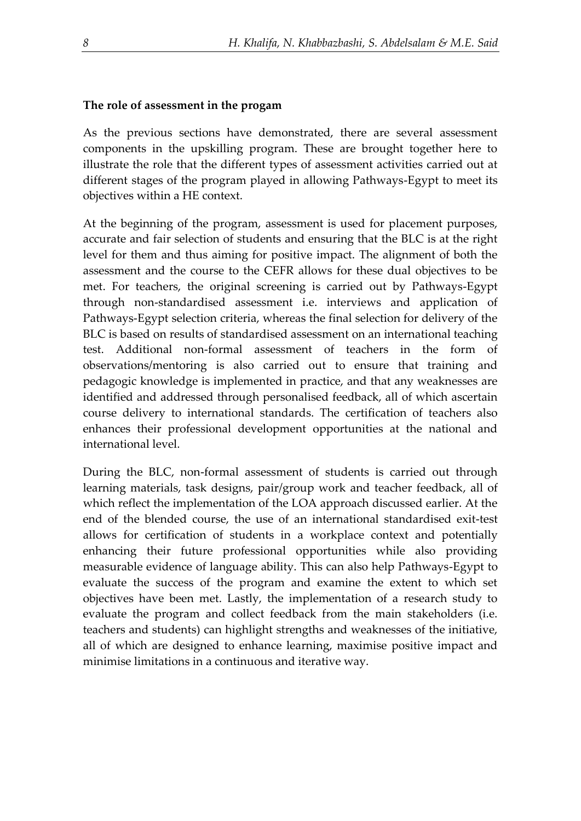#### **The role of assessment in the progam**

As the previous sections have demonstrated, there are several assessment components in the upskilling program. These are brought together here to illustrate the role that the different types of assessment activities carried out at different stages of the program played in allowing Pathways-Egypt to meet its objectives within a HE context.

At the beginning of the program, assessment is used for placement purposes, accurate and fair selection of students and ensuring that the BLC is at the right level for them and thus aiming for positive impact. The alignment of both the assessment and the course to the CEFR allows for these dual objectives to be met. For teachers, the original screening is carried out by Pathways-Egypt through non-standardised assessment i.e. interviews and application of Pathways-Egypt selection criteria, whereas the final selection for delivery of the BLC is based on results of standardised assessment on an international teaching test. Additional non-formal assessment of teachers in the form of observations/mentoring is also carried out to ensure that training and pedagogic knowledge is implemented in practice, and that any weaknesses are identified and addressed through personalised feedback, all of which ascertain course delivery to international standards. The certification of teachers also enhances their professional development opportunities at the national and international level.

During the BLC, non-formal assessment of students is carried out through learning materials, task designs, pair/group work and teacher feedback, all of which reflect the implementation of the LOA approach discussed earlier. At the end of the blended course, the use of an international standardised exit-test allows for certification of students in a workplace context and potentially enhancing their future professional opportunities while also providing measurable evidence of language ability. This can also help Pathways-Egypt to evaluate the success of the program and examine the extent to which set objectives have been met. Lastly, the implementation of a research study to evaluate the program and collect feedback from the main stakeholders (i.e. teachers and students) can highlight strengths and weaknesses of the initiative, all of which are designed to enhance learning, maximise positive impact and minimise limitations in a continuous and iterative way.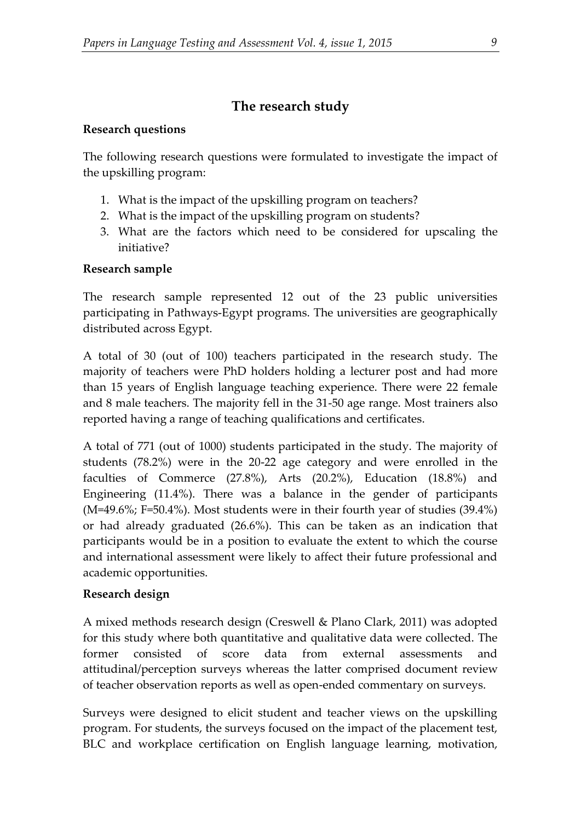# **The research study**

## **Research questions**

The following research questions were formulated to investigate the impact of the upskilling program:

- 1. What is the impact of the upskilling program on teachers?
- 2. What is the impact of the upskilling program on students?
- 3. What are the factors which need to be considered for upscaling the initiative?

## **Research sample**

The research sample represented 12 out of the 23 public universities participating in Pathways-Egypt programs. The universities are geographically distributed across Egypt.

A total of 30 (out of 100) teachers participated in the research study. The majority of teachers were PhD holders holding a lecturer post and had more than 15 years of English language teaching experience. There were 22 female and 8 male teachers. The majority fell in the 31-50 age range. Most trainers also reported having a range of teaching qualifications and certificates.

A total of 771 (out of 1000) students participated in the study. The majority of students (78.2%) were in the 20-22 age category and were enrolled in the faculties of Commerce (27.8%), Arts (20.2%), Education (18.8%) and Engineering (11.4%). There was a balance in the gender of participants (M=49.6%; F=50.4%). Most students were in their fourth year of studies (39.4%) or had already graduated (26.6%). This can be taken as an indication that participants would be in a position to evaluate the extent to which the course and international assessment were likely to affect their future professional and academic opportunities.

## **Research design**

A mixed methods research design (Creswell & Plano Clark, 2011) was adopted for this study where both quantitative and qualitative data were collected. The former consisted of score data from external assessments attitudinal/perception surveys whereas the latter comprised document review of teacher observation reports as well as open-ended commentary on surveys.

Surveys were designed to elicit student and teacher views on the upskilling program. For students, the surveys focused on the impact of the placement test, BLC and workplace certification on English language learning, motivation,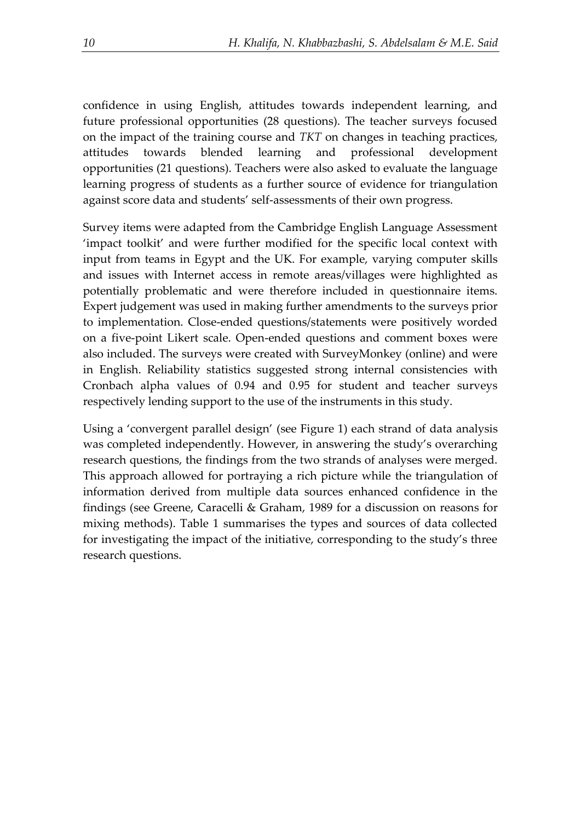confidence in using English, attitudes towards independent learning, and future professional opportunities (28 questions). The teacher surveys focused on the impact of the training course and *TKT* on changes in teaching practices, attitudes towards blended learning and professional development opportunities (21 questions). Teachers were also asked to evaluate the language learning progress of students as a further source of evidence for triangulation against score data and students' self-assessments of their own progress.

Survey items were adapted from the Cambridge English Language Assessment 'impact toolkit' and were further modified for the specific local context with input from teams in Egypt and the UK. For example, varying computer skills and issues with Internet access in remote areas/villages were highlighted as potentially problematic and were therefore included in questionnaire items. Expert judgement was used in making further amendments to the surveys prior to implementation. Close-ended questions/statements were positively worded on a five-point Likert scale. Open-ended questions and comment boxes were also included. The surveys were created with SurveyMonkey (online) and were in English. Reliability statistics suggested strong internal consistencies with Cronbach alpha values of 0.94 and 0.95 for student and teacher surveys respectively lending support to the use of the instruments in this study.

Using a 'convergent parallel design' (see Figure 1) each strand of data analysis was completed independently. However, in answering the study's overarching research questions, the findings from the two strands of analyses were merged. This approach allowed for portraying a rich picture while the triangulation of information derived from multiple data sources enhanced confidence in the findings (see Greene, Caracelli & Graham, 1989 for a discussion on reasons for mixing methods). Table 1 summarises the types and sources of data collected for investigating the impact of the initiative, corresponding to the study's three research questions.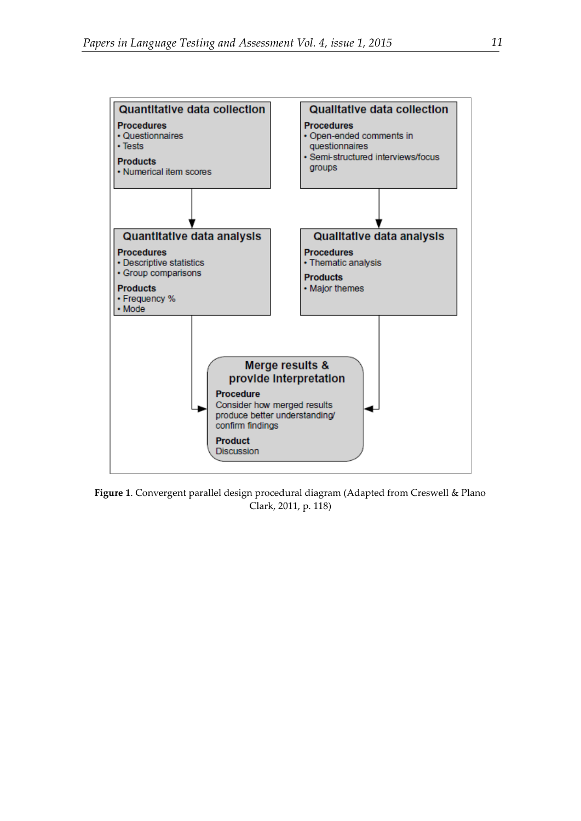

**Figure 1**. Convergent parallel design procedural diagram (Adapted from Creswell & Plano Clark, 2011, p. 118)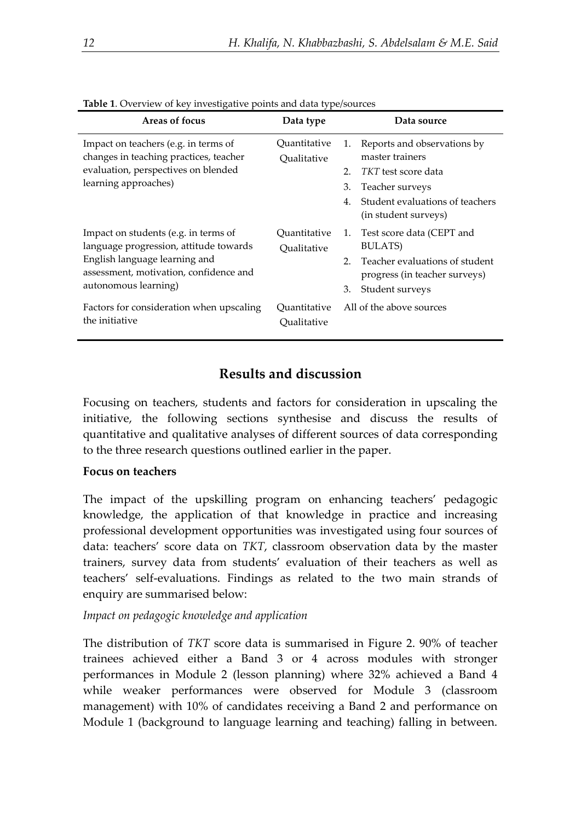| <b>Table 1.</b> Overview of Key httpcsugative politis and data type/sources                                                                                                       |                             |                                                                                                      |  |  |  |  |  |  |
|-----------------------------------------------------------------------------------------------------------------------------------------------------------------------------------|-----------------------------|------------------------------------------------------------------------------------------------------|--|--|--|--|--|--|
| Areas of focus                                                                                                                                                                    | Data type                   | Data source                                                                                          |  |  |  |  |  |  |
| Impact on teachers (e.g. in terms of<br>changes in teaching practices, teacher<br>evaluation, perspectives on blended<br>learning approaches)                                     | Ouantitative<br>Qualitative | Reports and observations by<br>1.<br>master trainers<br><i>TKT</i> test score data<br>2 <sub>1</sub> |  |  |  |  |  |  |
|                                                                                                                                                                                   |                             |                                                                                                      |  |  |  |  |  |  |
|                                                                                                                                                                                   |                             | Teacher surveys<br>3.                                                                                |  |  |  |  |  |  |
|                                                                                                                                                                                   |                             | Student evaluations of teachers<br>$4_{\cdot}$<br>(in student surveys)                               |  |  |  |  |  |  |
| Impact on students (e.g. in terms of<br>language progression, attitude towards<br>English language learning and<br>assessment, motivation, confidence and<br>autonomous learning) | Ouantitative<br>Qualitative | 1. Test score data (CEPT and<br>BULATS)                                                              |  |  |  |  |  |  |
|                                                                                                                                                                                   |                             | 2 <sup>1</sup><br>Teacher evaluations of student<br>progress (in teacher surveys)                    |  |  |  |  |  |  |
|                                                                                                                                                                                   |                             | 3.<br>Student surveys                                                                                |  |  |  |  |  |  |
| Factors for consideration when upscaling<br>the initiative                                                                                                                        | Ouantitative<br>Oualitative | All of the above sources                                                                             |  |  |  |  |  |  |

**Table 1**. Overview of key investigative points and data type/sources

## **Results and discussion**

Focusing on teachers, students and factors for consideration in upscaling the initiative, the following sections synthesise and discuss the results of quantitative and qualitative analyses of different sources of data corresponding to the three research questions outlined earlier in the paper.

#### **Focus on teachers**

The impact of the upskilling program on enhancing teachers' pedagogic knowledge, the application of that knowledge in practice and increasing professional development opportunities was investigated using four sources of data: teachers' score data on *TKT*, classroom observation data by the master trainers, survey data from students' evaluation of their teachers as well as teachers' self-evaluations. Findings as related to the two main strands of enquiry are summarised below:

*Impact on pedagogic knowledge and application* 

The distribution of *TKT* score data is summarised in Figure 2. 90% of teacher trainees achieved either a Band 3 or 4 across modules with stronger performances in Module 2 (lesson planning) where 32% achieved a Band 4 while weaker performances were observed for Module 3 (classroom management) with 10% of candidates receiving a Band 2 and performance on Module 1 (background to language learning and teaching) falling in between.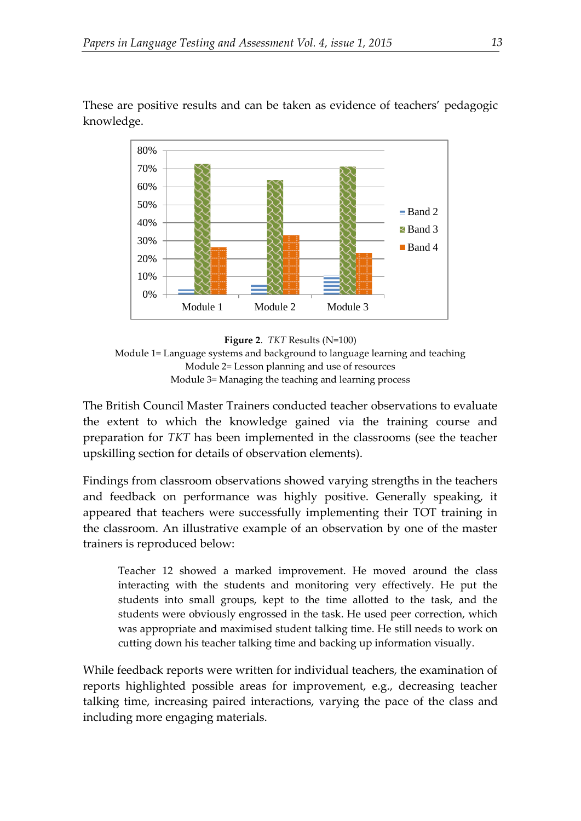These are positive results and can be taken as evidence of teachers' pedagogic knowledge.



**Figure 2**. *TKT* Results (N=100) Module 1= Language systems and background to language learning and teaching Module 2= Lesson planning and use of resources Module 3= Managing the teaching and learning process

The British Council Master Trainers conducted teacher observations to evaluate the extent to which the knowledge gained via the training course and preparation for *TKT* has been implemented in the classrooms (see the teacher upskilling section for details of observation elements).

Findings from classroom observations showed varying strengths in the teachers and feedback on performance was highly positive. Generally speaking, it appeared that teachers were successfully implementing their TOT training in the classroom. An illustrative example of an observation by one of the master trainers is reproduced below:

Teacher 12 showed a marked improvement. He moved around the class interacting with the students and monitoring very effectively. He put the students into small groups, kept to the time allotted to the task, and the students were obviously engrossed in the task. He used peer correction, which was appropriate and maximised student talking time. He still needs to work on cutting down his teacher talking time and backing up information visually.

While feedback reports were written for individual teachers, the examination of reports highlighted possible areas for improvement, e.g., decreasing teacher talking time, increasing paired interactions, varying the pace of the class and including more engaging materials.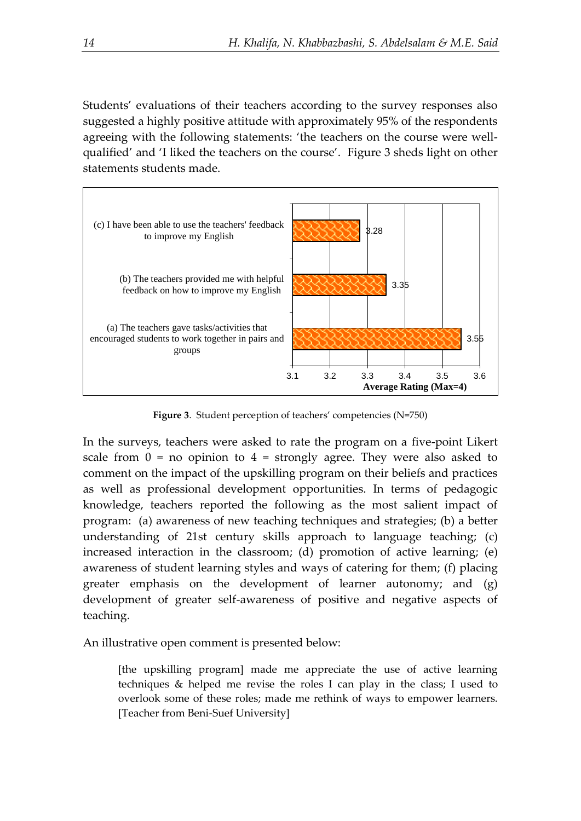Students' evaluations of their teachers according to the survey responses also suggested a highly positive attitude with approximately 95% of the respondents agreeing with the following statements: 'the teachers on the course were wellqualified' and 'I liked the teachers on the course'. Figure 3 sheds light on other statements students made.



**Figure 3**. Student perception of teachers' competencies (N=750)

In the surveys, teachers were asked to rate the program on a five-point Likert scale from  $0 = no$  opinion to  $4 =$  strongly agree. They were also asked to comment on the impact of the upskilling program on their beliefs and practices as well as professional development opportunities. In terms of pedagogic knowledge, teachers reported the following as the most salient impact of program: (a) awareness of new teaching techniques and strategies; (b) a better understanding of 21st century skills approach to language teaching; (c) increased interaction in the classroom; (d) promotion of active learning; (e) awareness of student learning styles and ways of catering for them; (f) placing greater emphasis on the development of learner autonomy; and (g) development of greater self-awareness of positive and negative aspects of teaching.

An illustrative open comment is presented below:

[the upskilling program] made me appreciate the use of active learning techniques & helped me revise the roles I can play in the class; I used to overlook some of these roles; made me rethink of ways to empower learners. [Teacher from Beni-Suef University]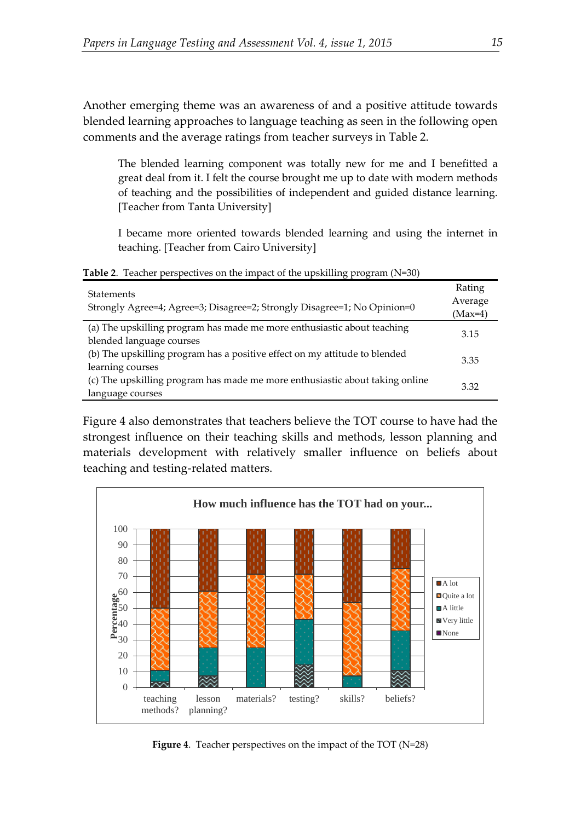Another emerging theme was an awareness of and a positive attitude towards blended learning approaches to language teaching as seen in the following open comments and the average ratings from teacher surveys in Table 2.

The blended learning component was totally new for me and I benefitted a great deal from it. I felt the course brought me up to date with modern methods of teaching and the possibilities of independent and guided distance learning. [Teacher from Tanta University]

I became more oriented towards blended learning and using the internet in teaching. [Teacher from Cairo University]

**Table 2**. Teacher perspectives on the impact of the upskilling program (N=30) Statements Strongly Agree=4; Agree=3; Disagree=2; Strongly Disagree=1; No Opinion=0 Rating Average (Max=4) (a) The upskilling program has made me more enthusiastic about teaching (a) The upskinning program has made the more entities assite about teaching<br>blended language courses (b) The upskilling program has a positive effect on my attitude to blended learning courses 3.35 (c) The upskilling program has made me more enthusiastic about taking online language courses 3.32

Figure 4 also demonstrates that teachers believe the TOT course to have had the strongest influence on their teaching skills and methods, lesson planning and materials development with relatively smaller influence on beliefs about teaching and testing-related matters.



**Figure 4**. Teacher perspectives on the impact of the TOT (N=28)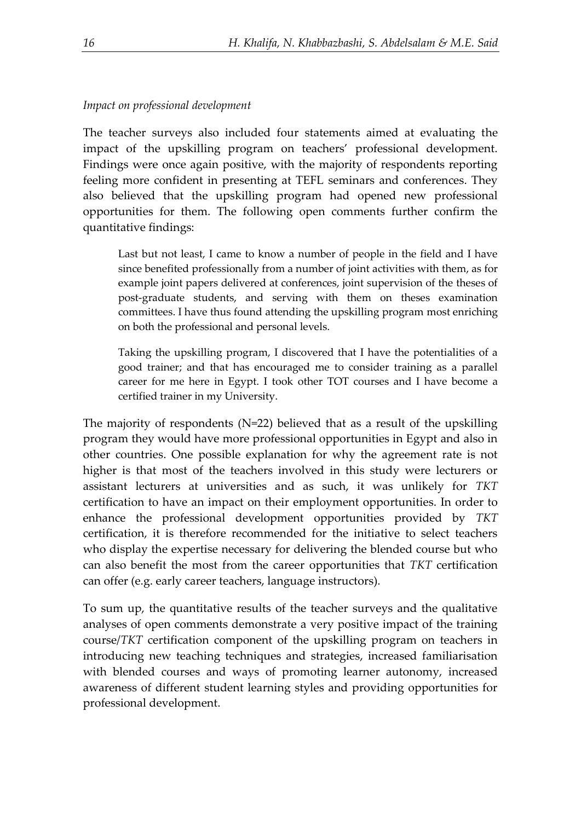## *Impact on professional development*

The teacher surveys also included four statements aimed at evaluating the impact of the upskilling program on teachers' professional development. Findings were once again positive, with the majority of respondents reporting feeling more confident in presenting at TEFL seminars and conferences. They also believed that the upskilling program had opened new professional opportunities for them. The following open comments further confirm the quantitative findings:

Last but not least, I came to know a number of people in the field and I have since benefited professionally from a number of joint activities with them, as for example joint papers delivered at conferences, joint supervision of the theses of post-graduate students, and serving with them on theses examination committees. I have thus found attending the upskilling program most enriching on both the professional and personal levels.

Taking the upskilling program, I discovered that I have the potentialities of a good trainer; and that has encouraged me to consider training as a parallel career for me here in Egypt. I took other TOT courses and I have become a certified trainer in my University.

The majority of respondents (N=22) believed that as a result of the upskilling program they would have more professional opportunities in Egypt and also in other countries. One possible explanation for why the agreement rate is not higher is that most of the teachers involved in this study were lecturers or assistant lecturers at universities and as such, it was unlikely for *TKT* certification to have an impact on their employment opportunities. In order to enhance the professional development opportunities provided by *TKT* certification, it is therefore recommended for the initiative to select teachers who display the expertise necessary for delivering the blended course but who can also benefit the most from the career opportunities that *TKT* certification can offer (e.g. early career teachers, language instructors).

To sum up, the quantitative results of the teacher surveys and the qualitative analyses of open comments demonstrate a very positive impact of the training course/*TKT* certification component of the upskilling program on teachers in introducing new teaching techniques and strategies, increased familiarisation with blended courses and ways of promoting learner autonomy, increased awareness of different student learning styles and providing opportunities for professional development.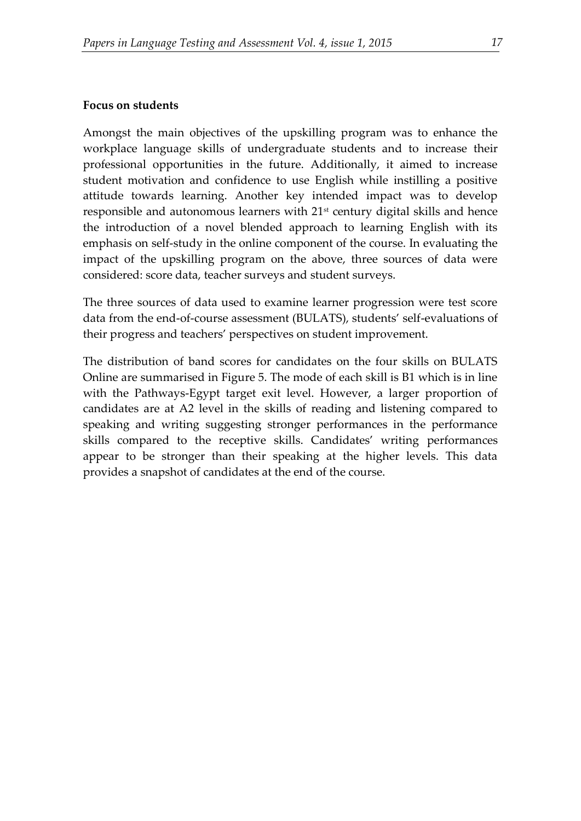## **Focus on students**

Amongst the main objectives of the upskilling program was to enhance the workplace language skills of undergraduate students and to increase their professional opportunities in the future. Additionally, it aimed to increase student motivation and confidence to use English while instilling a positive attitude towards learning. Another key intended impact was to develop responsible and autonomous learners with  $21<sup>st</sup>$  century digital skills and hence the introduction of a novel blended approach to learning English with its emphasis on self-study in the online component of the course. In evaluating the impact of the upskilling program on the above, three sources of data were considered: score data, teacher surveys and student surveys.

The three sources of data used to examine learner progression were test score data from the end-of-course assessment (BULATS), students' self-evaluations of their progress and teachers' perspectives on student improvement.

The distribution of band scores for candidates on the four skills on BULATS Online are summarised in Figure 5. The mode of each skill is B1 which is in line with the Pathways-Egypt target exit level. However, a larger proportion of candidates are at A2 level in the skills of reading and listening compared to speaking and writing suggesting stronger performances in the performance skills compared to the receptive skills. Candidates' writing performances appear to be stronger than their speaking at the higher levels. This data provides a snapshot of candidates at the end of the course.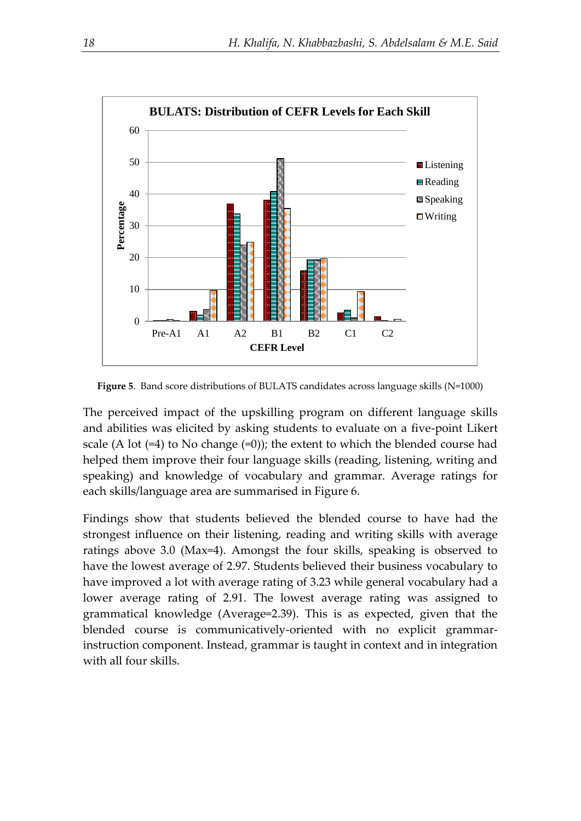

**Figure 5**. Band score distributions of BULATS candidates across language skills (N=1000)

The perceived impact of the upskilling program on different language skills and abilities was elicited by asking students to evaluate on a five-point Likert scale (A lot  $(=4)$  to No change  $(=0)$ ); the extent to which the blended course had helped them improve their four language skills (reading, listening, writing and speaking) and knowledge of vocabulary and grammar. Average ratings for each skills/language area are summarised in Figure 6.

Findings show that students believed the blended course to have had the strongest influence on their listening, reading and writing skills with average ratings above 3.0 (Max=4). Amongst the four skills, speaking is observed to have the lowest average of 2.97. Students believed their business vocabulary to have improved a lot with average rating of 3.23 while general vocabulary had a lower average rating of 2.91. The lowest average rating was assigned to grammatical knowledge (Average=2.39). This is as expected, given that the blended course is communicatively-oriented with no explicit grammarinstruction component. Instead, grammar is taught in context and in integration with all four skills.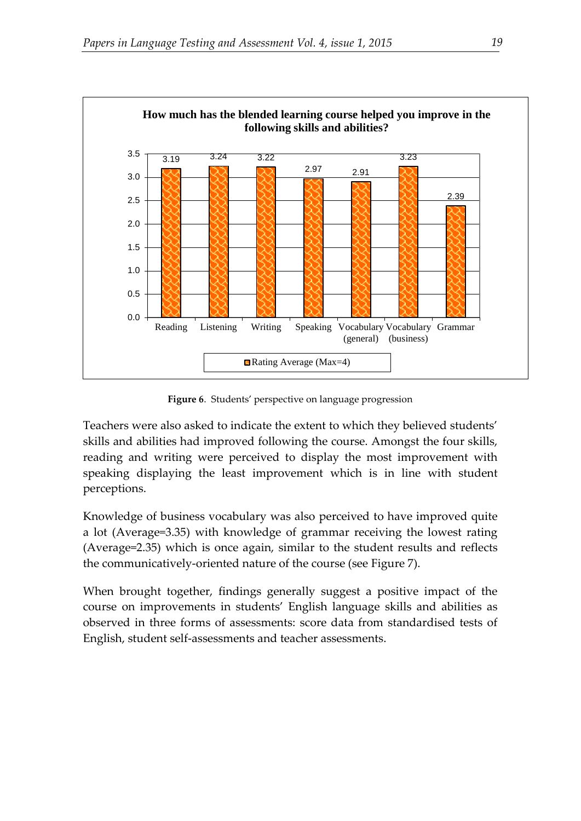

**Figure 6**. Students' perspective on language progression

Teachers were also asked to indicate the extent to which they believed students' skills and abilities had improved following the course. Amongst the four skills, reading and writing were perceived to display the most improvement with speaking displaying the least improvement which is in line with student perceptions.

Knowledge of business vocabulary was also perceived to have improved quite a lot (Average=3.35) with knowledge of grammar receiving the lowest rating (Average=2.35) which is once again, similar to the student results and reflects the communicatively-oriented nature of the course (see Figure 7).

When brought together, findings generally suggest a positive impact of the course on improvements in students' English language skills and abilities as observed in three forms of assessments: score data from standardised tests of English, student self-assessments and teacher assessments.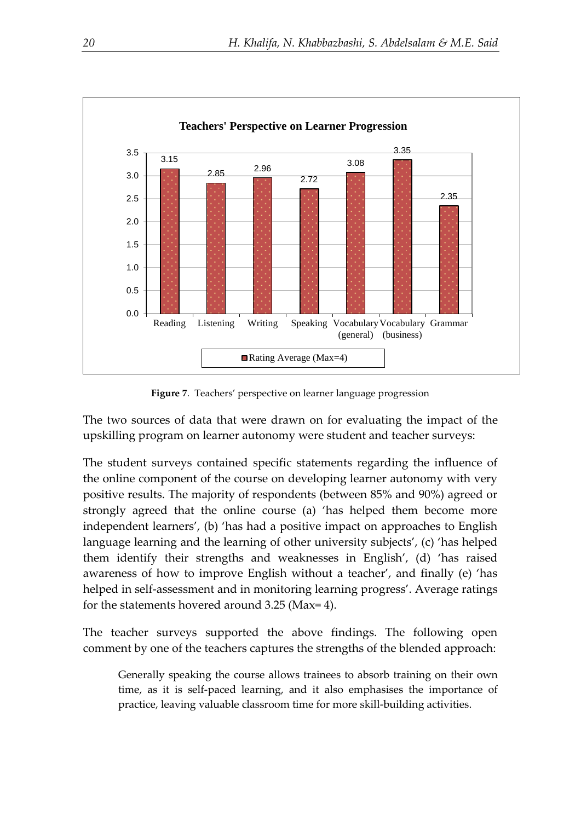

**Figure 7**. Teachers' perspective on learner language progression

The two sources of data that were drawn on for evaluating the impact of the upskilling program on learner autonomy were student and teacher surveys:

The student surveys contained specific statements regarding the influence of the online component of the course on developing learner autonomy with very positive results. The majority of respondents (between 85% and 90%) agreed or strongly agreed that the online course (a) 'has helped them become more independent learners', (b) 'has had a positive impact on approaches to English language learning and the learning of other university subjects', (c) 'has helped them identify their strengths and weaknesses in English', (d) 'has raised awareness of how to improve English without a teacher', and finally (e) 'has helped in self-assessment and in monitoring learning progress'. Average ratings for the statements hovered around 3.25 (Max= 4).

The teacher surveys supported the above findings. The following open comment by one of the teachers captures the strengths of the blended approach:

Generally speaking the course allows trainees to absorb training on their own time, as it is self-paced learning, and it also emphasises the importance of practice, leaving valuable classroom time for more skill-building activities.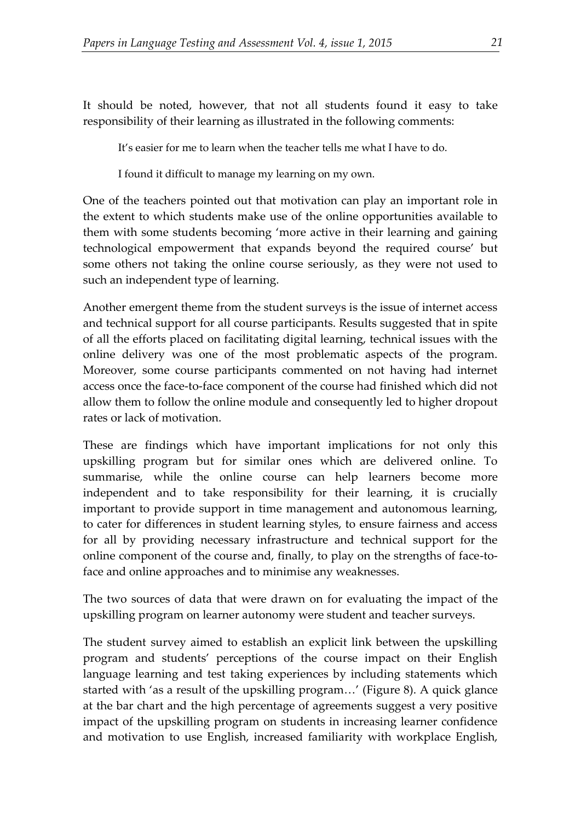It should be noted, however, that not all students found it easy to take responsibility of their learning as illustrated in the following comments:

It's easier for me to learn when the teacher tells me what I have to do.

I found it difficult to manage my learning on my own.

One of the teachers pointed out that motivation can play an important role in the extent to which students make use of the online opportunities available to them with some students becoming 'more active in their learning and gaining technological empowerment that expands beyond the required course' but some others not taking the online course seriously, as they were not used to such an independent type of learning.

Another emergent theme from the student surveys is the issue of internet access and technical support for all course participants. Results suggested that in spite of all the efforts placed on facilitating digital learning, technical issues with the online delivery was one of the most problematic aspects of the program. Moreover, some course participants commented on not having had internet access once the face-to-face component of the course had finished which did not allow them to follow the online module and consequently led to higher dropout rates or lack of motivation.

These are findings which have important implications for not only this upskilling program but for similar ones which are delivered online. To summarise, while the online course can help learners become more independent and to take responsibility for their learning, it is crucially important to provide support in time management and autonomous learning, to cater for differences in student learning styles, to ensure fairness and access for all by providing necessary infrastructure and technical support for the online component of the course and, finally, to play on the strengths of face-toface and online approaches and to minimise any weaknesses.

The two sources of data that were drawn on for evaluating the impact of the upskilling program on learner autonomy were student and teacher surveys.

The student survey aimed to establish an explicit link between the upskilling program and students' perceptions of the course impact on their English language learning and test taking experiences by including statements which started with 'as a result of the upskilling program…' (Figure 8). A quick glance at the bar chart and the high percentage of agreements suggest a very positive impact of the upskilling program on students in increasing learner confidence and motivation to use English, increased familiarity with workplace English,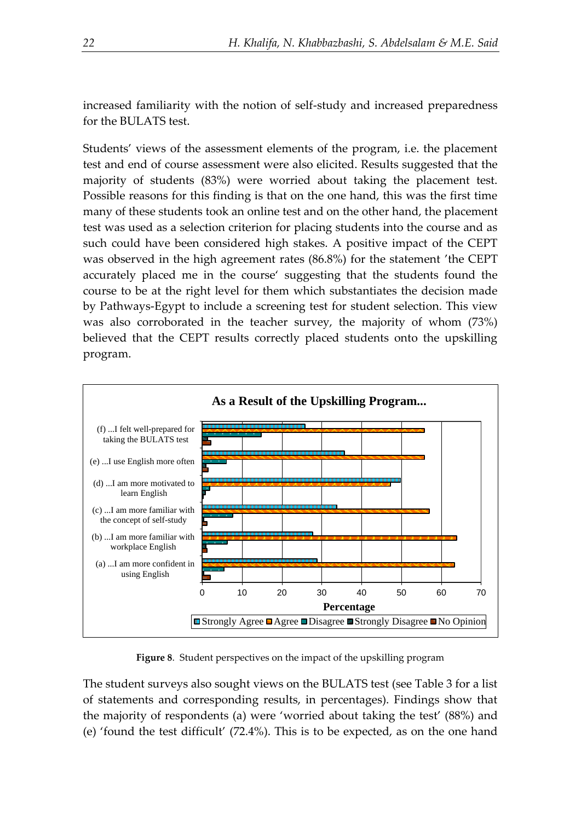increased familiarity with the notion of self-study and increased preparedness for the BULATS test.

Students' views of the assessment elements of the program, i.e. the placement test and end of course assessment were also elicited. Results suggested that the majority of students (83%) were worried about taking the placement test. Possible reasons for this finding is that on the one hand, this was the first time many of these students took an online test and on the other hand, the placement test was used as a selection criterion for placing students into the course and as such could have been considered high stakes. A positive impact of the CEPT was observed in the high agreement rates (86.8%) for the statement 'the CEPT accurately placed me in the course' suggesting that the students found the course to be at the right level for them which substantiates the decision made by Pathways-Egypt to include a screening test for student selection. This view was also corroborated in the teacher survey, the majority of whom (73%) believed that the CEPT results correctly placed students onto the upskilling program.



**Figure 8**. Student perspectives on the impact of the upskilling program

The student surveys also sought views on the BULATS test (see Table 3 for a list of statements and corresponding results, in percentages). Findings show that the majority of respondents (a) were 'worried about taking the test' (88%) and (e) 'found the test difficult' (72.4%). This is to be expected, as on the one hand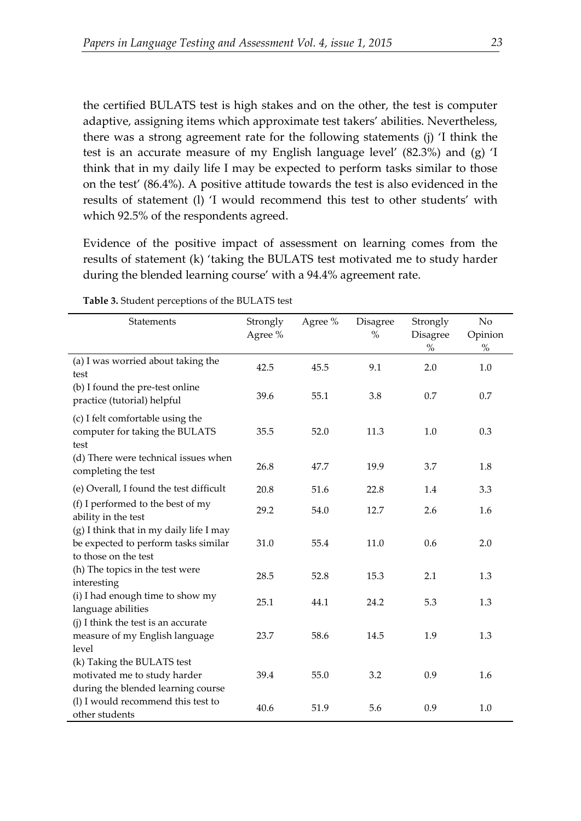the certified BULATS test is high stakes and on the other, the test is computer adaptive, assigning items which approximate test takers' abilities. Nevertheless, there was a strong agreement rate for the following statements (j) 'I think the test is an accurate measure of my English language level' (82.3%) and (g) 'I think that in my daily life I may be expected to perform tasks similar to those on the test' (86.4%). A positive attitude towards the test is also evidenced in the results of statement (l) 'I would recommend this test to other students' with which 92.5% of the respondents agreed.

Evidence of the positive impact of assessment on learning comes from the results of statement (k) 'taking the BULATS test motivated me to study harder during the blended learning course' with a 94.4% agreement rate.

| Statements                                                                                              | Strongly<br>Agree % | Agree % | Disagree<br>$\%$ | Strongly<br>Disagree<br>$\%$ | No<br>Opinion<br>$\%$ |
|---------------------------------------------------------------------------------------------------------|---------------------|---------|------------------|------------------------------|-----------------------|
| (a) I was worried about taking the<br>test                                                              | 42.5                | 45.5    | 9.1              | 2.0                          | 1.0                   |
| (b) I found the pre-test online<br>practice (tutorial) helpful                                          | 39.6                | 55.1    | 3.8              | 0.7                          | 0.7                   |
| (c) I felt comfortable using the<br>computer for taking the BULATS<br>test                              | 35.5                | 52.0    | 11.3             | 1.0                          | 0.3                   |
| (d) There were technical issues when<br>completing the test                                             | 26.8                | 47.7    | 19.9             | 3.7                          | 1.8                   |
| (e) Overall, I found the test difficult                                                                 | 20.8                | 51.6    | 22.8             | 1.4                          | 3.3                   |
| (f) I performed to the best of my<br>ability in the test                                                | 29.2                | 54.0    | 12.7             | 2.6                          | 1.6                   |
| (g) I think that in my daily life I may<br>be expected to perform tasks similar<br>to those on the test | 31.0                | 55.4    | 11.0             | 0.6                          | 2.0                   |
| (h) The topics in the test were<br>interesting                                                          | 28.5                | 52.8    | 15.3             | 2.1                          | 1.3                   |
| (i) I had enough time to show my<br>language abilities                                                  | 25.1                | 44.1    | 24.2             | 5.3                          | 1.3                   |
| (j) I think the test is an accurate<br>measure of my English language<br>level                          | 23.7                | 58.6    | 14.5             | 1.9                          | 1.3                   |
| (k) Taking the BULATS test<br>motivated me to study harder<br>during the blended learning course        | 39.4                | 55.0    | 3.2              | 0.9                          | 1.6                   |
| (l) I would recommend this test to<br>other students                                                    | 40.6                | 51.9    | 5.6              | 0.9                          | 1.0                   |

**Table 3.** Student perceptions of the BULATS test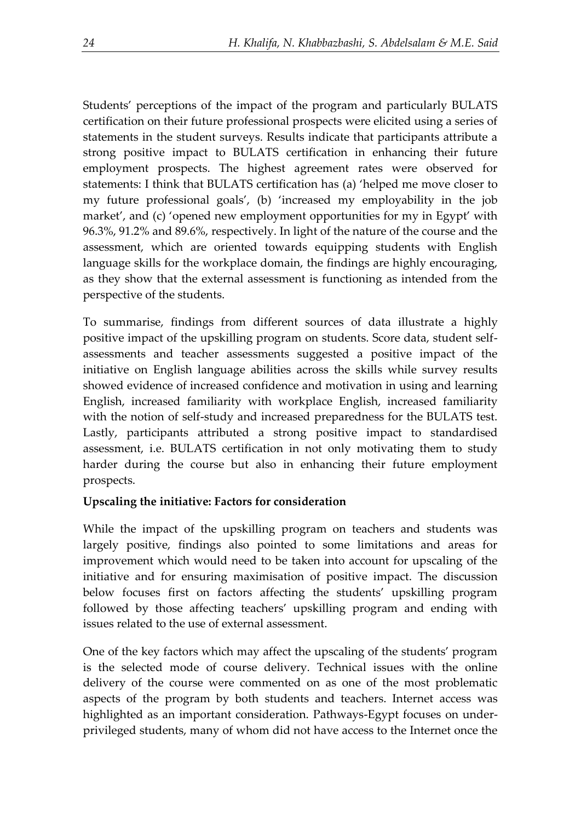Students' perceptions of the impact of the program and particularly BULATS certification on their future professional prospects were elicited using a series of statements in the student surveys. Results indicate that participants attribute a strong positive impact to BULATS certification in enhancing their future employment prospects. The highest agreement rates were observed for statements: I think that BULATS certification has (a) 'helped me move closer to my future professional goals', (b) 'increased my employability in the job market', and (c) 'opened new employment opportunities for my in Egypt' with 96.3%, 91.2% and 89.6%, respectively. In light of the nature of the course and the assessment, which are oriented towards equipping students with English language skills for the workplace domain, the findings are highly encouraging, as they show that the external assessment is functioning as intended from the perspective of the students.

To summarise, findings from different sources of data illustrate a highly positive impact of the upskilling program on students. Score data, student selfassessments and teacher assessments suggested a positive impact of the initiative on English language abilities across the skills while survey results showed evidence of increased confidence and motivation in using and learning English, increased familiarity with workplace English, increased familiarity with the notion of self-study and increased preparedness for the BULATS test. Lastly, participants attributed a strong positive impact to standardised assessment, i.e. BULATS certification in not only motivating them to study harder during the course but also in enhancing their future employment prospects.

## **Upscaling the initiative: Factors for consideration**

While the impact of the upskilling program on teachers and students was largely positive, findings also pointed to some limitations and areas for improvement which would need to be taken into account for upscaling of the initiative and for ensuring maximisation of positive impact. The discussion below focuses first on factors affecting the students' upskilling program followed by those affecting teachers' upskilling program and ending with issues related to the use of external assessment.

One of the key factors which may affect the upscaling of the students' program is the selected mode of course delivery. Technical issues with the online delivery of the course were commented on as one of the most problematic aspects of the program by both students and teachers. Internet access was highlighted as an important consideration. Pathways-Egypt focuses on underprivileged students, many of whom did not have access to the Internet once the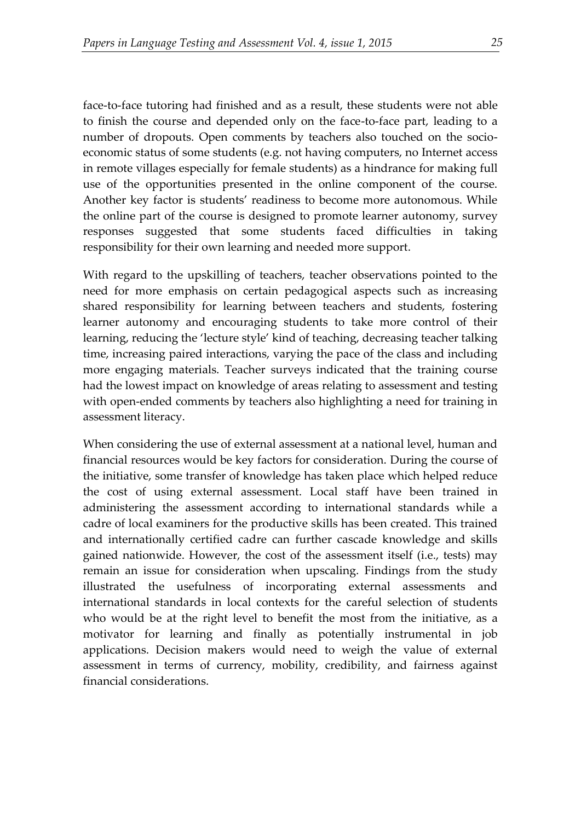face-to-face tutoring had finished and as a result, these students were not able to finish the course and depended only on the face-to-face part, leading to a number of dropouts. Open comments by teachers also touched on the socioeconomic status of some students (e.g. not having computers, no Internet access in remote villages especially for female students) as a hindrance for making full use of the opportunities presented in the online component of the course. Another key factor is students' readiness to become more autonomous. While the online part of the course is designed to promote learner autonomy, survey responses suggested that some students faced difficulties in taking responsibility for their own learning and needed more support.

With regard to the upskilling of teachers, teacher observations pointed to the need for more emphasis on certain pedagogical aspects such as increasing shared responsibility for learning between teachers and students, fostering learner autonomy and encouraging students to take more control of their learning, reducing the 'lecture style' kind of teaching, decreasing teacher talking time, increasing paired interactions, varying the pace of the class and including more engaging materials. Teacher surveys indicated that the training course had the lowest impact on knowledge of areas relating to assessment and testing with open-ended comments by teachers also highlighting a need for training in assessment literacy.

When considering the use of external assessment at a national level, human and financial resources would be key factors for consideration. During the course of the initiative, some transfer of knowledge has taken place which helped reduce the cost of using external assessment. Local staff have been trained in administering the assessment according to international standards while a cadre of local examiners for the productive skills has been created. This trained and internationally certified cadre can further cascade knowledge and skills gained nationwide. However, the cost of the assessment itself (i.e., tests) may remain an issue for consideration when upscaling. Findings from the study illustrated the usefulness of incorporating external assessments and international standards in local contexts for the careful selection of students who would be at the right level to benefit the most from the initiative, as a motivator for learning and finally as potentially instrumental in job applications. Decision makers would need to weigh the value of external assessment in terms of currency, mobility, credibility, and fairness against financial considerations.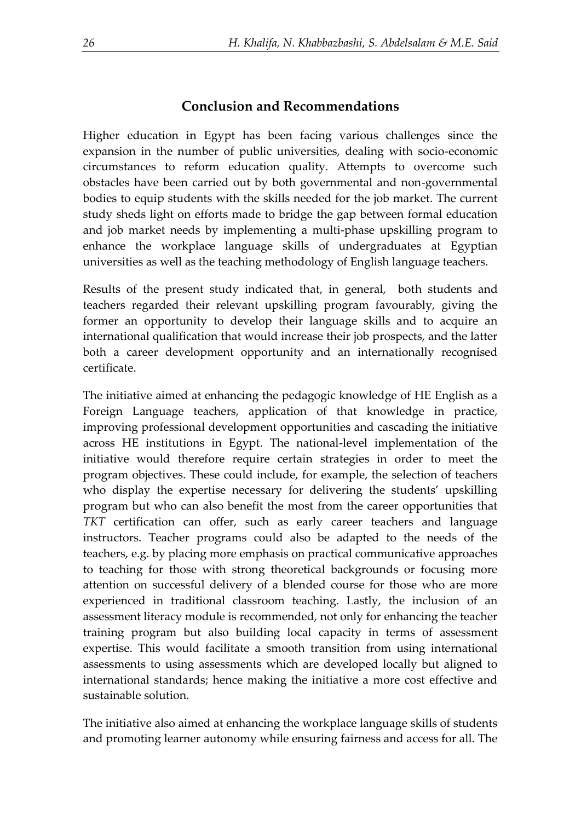## **Conclusion and Recommendations**

Higher education in Egypt has been facing various challenges since the expansion in the number of public universities, dealing with socio-economic circumstances to reform education quality. Attempts to overcome such obstacles have been carried out by both governmental and non-governmental bodies to equip students with the skills needed for the job market. The current study sheds light on efforts made to bridge the gap between formal education and job market needs by implementing a multi-phase upskilling program to enhance the workplace language skills of undergraduates at Egyptian universities as well as the teaching methodology of English language teachers.

Results of the present study indicated that, in general, both students and teachers regarded their relevant upskilling program favourably, giving the former an opportunity to develop their language skills and to acquire an international qualification that would increase their job prospects, and the latter both a career development opportunity and an internationally recognised certificate.

The initiative aimed at enhancing the pedagogic knowledge of HE English as a Foreign Language teachers, application of that knowledge in practice, improving professional development opportunities and cascading the initiative across HE institutions in Egypt. The national-level implementation of the initiative would therefore require certain strategies in order to meet the program objectives. These could include, for example, the selection of teachers who display the expertise necessary for delivering the students' upskilling program but who can also benefit the most from the career opportunities that *TKT* certification can offer, such as early career teachers and language instructors. Teacher programs could also be adapted to the needs of the teachers, e.g. by placing more emphasis on practical communicative approaches to teaching for those with strong theoretical backgrounds or focusing more attention on successful delivery of a blended course for those who are more experienced in traditional classroom teaching. Lastly, the inclusion of an assessment literacy module is recommended, not only for enhancing the teacher training program but also building local capacity in terms of assessment expertise. This would facilitate a smooth transition from using international assessments to using assessments which are developed locally but aligned to international standards; hence making the initiative a more cost effective and sustainable solution.

The initiative also aimed at enhancing the workplace language skills of students and promoting learner autonomy while ensuring fairness and access for all. The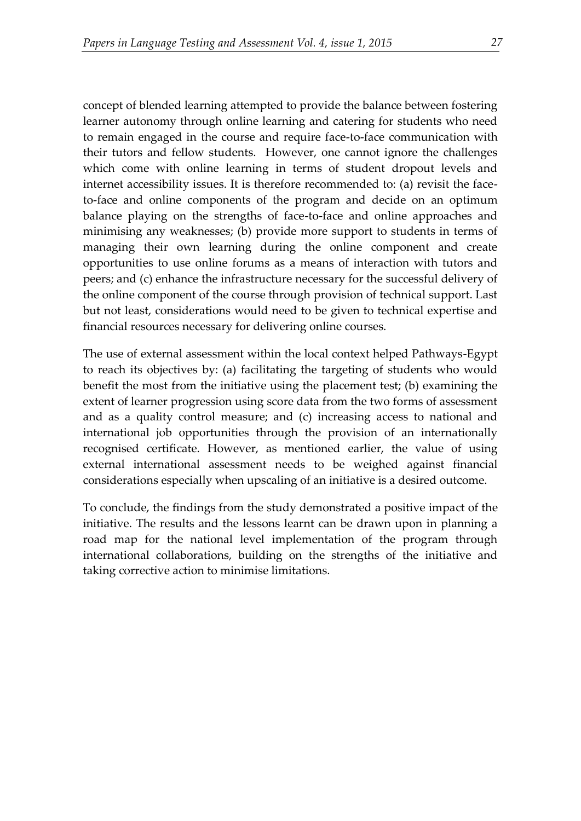concept of blended learning attempted to provide the balance between fostering learner autonomy through online learning and catering for students who need to remain engaged in the course and require face-to-face communication with their tutors and fellow students. However, one cannot ignore the challenges which come with online learning in terms of student dropout levels and internet accessibility issues. It is therefore recommended to: (a) revisit the faceto-face and online components of the program and decide on an optimum balance playing on the strengths of face-to-face and online approaches and minimising any weaknesses; (b) provide more support to students in terms of managing their own learning during the online component and create opportunities to use online forums as a means of interaction with tutors and peers; and (c) enhance the infrastructure necessary for the successful delivery of the online component of the course through provision of technical support. Last but not least, considerations would need to be given to technical expertise and financial resources necessary for delivering online courses.

The use of external assessment within the local context helped Pathways-Egypt to reach its objectives by: (a) facilitating the targeting of students who would benefit the most from the initiative using the placement test; (b) examining the extent of learner progression using score data from the two forms of assessment and as a quality control measure; and (c) increasing access to national and international job opportunities through the provision of an internationally recognised certificate. However, as mentioned earlier, the value of using external international assessment needs to be weighed against financial considerations especially when upscaling of an initiative is a desired outcome.

To conclude, the findings from the study demonstrated a positive impact of the initiative. The results and the lessons learnt can be drawn upon in planning a road map for the national level implementation of the program through international collaborations, building on the strengths of the initiative and taking corrective action to minimise limitations.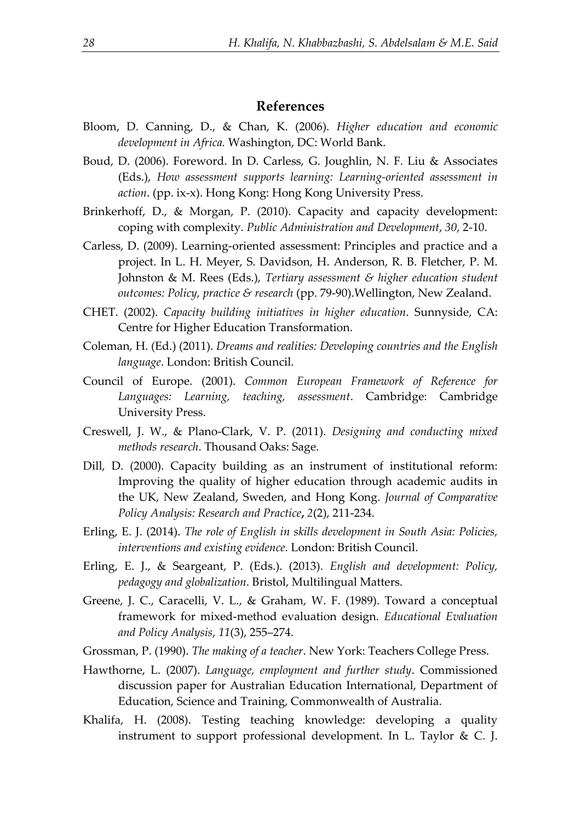## **References**

- Bloom, D. Canning, D., & Chan, K. (2006). *Higher education and economic development in Africa.* Washington, DC: World Bank.
- Boud, D. (2006). Foreword. In D. Carless, G. Joughlin, N. F. Liu & Associates (Eds.), *How assessment supports learning: Learning-oriented assessment in action*. (pp. ix-x). Hong Kong: Hong Kong University Press.
- Brinkerhoff, D., & Morgan, P. (2010). Capacity and capacity development: coping with complexity. *Public Administration and Development*, *30*, 2-10.
- Carless, D. (2009). Learning-oriented assessment: Principles and practice and a project. In L. H. Meyer, S. Davidson, H. Anderson, R. B. Fletcher, P. M. Johnston & M. Rees (Eds.), *Tertiary assessment & higher education student outcomes: Policy, practice & research* (pp. 79-90).Wellington, New Zealand.
- CHET. (2002). *Capacity building initiatives in higher education*. Sunnyside, CA: Centre for Higher Education Transformation.
- Coleman, H. (Ed.) (2011). *Dreams and realities: Developing countries and the English language*. London: British Council.
- Council of Europe. (2001). *Common European Framework of Reference for Languages: Learning, teaching, assessment*. Cambridge: Cambridge University Press.
- Creswell, J. W., & Plano-Clark, V. P. (2011). *Designing and conducting mixed methods research*. Thousand Oaks: Sage.
- Dill, D. (2000). Capacity building as an instrument of institutional reform: Improving the quality of higher education through academic audits in the UK, New Zealand, Sweden, and Hong Kong. *Journal of Comparative Policy Analysis: Research and Practice***,** *2*(2), 211-234.
- Erling, E. J. (2014). *The role of English in skills development in South Asia: Policies, interventions and existing evidence*. London: British Council.
- Erling, E. J., & Seargeant, P. (Eds.). (2013). *English and development: Policy, pedagogy and globalization*. Bristol, Multilingual Matters.
- Greene, J. C., Caracelli, V. L., & Graham, W. F. (1989). Toward a conceptual framework for mixed-method evaluation design. *Educational Evaluation and Policy Analysis*, *11*(3), 255–274.
- Grossman, P. (1990). *The making of a teacher*. New York: Teachers College Press.
- Hawthorne, L. (2007). *Language, employment and further study*. Commissioned discussion paper for Australian Education International, Department of Education, Science and Training, Commonwealth of Australia.
- Khalifa, H. (2008). Testing teaching knowledge: developing a quality instrument to support professional development. In L. Taylor & C. J.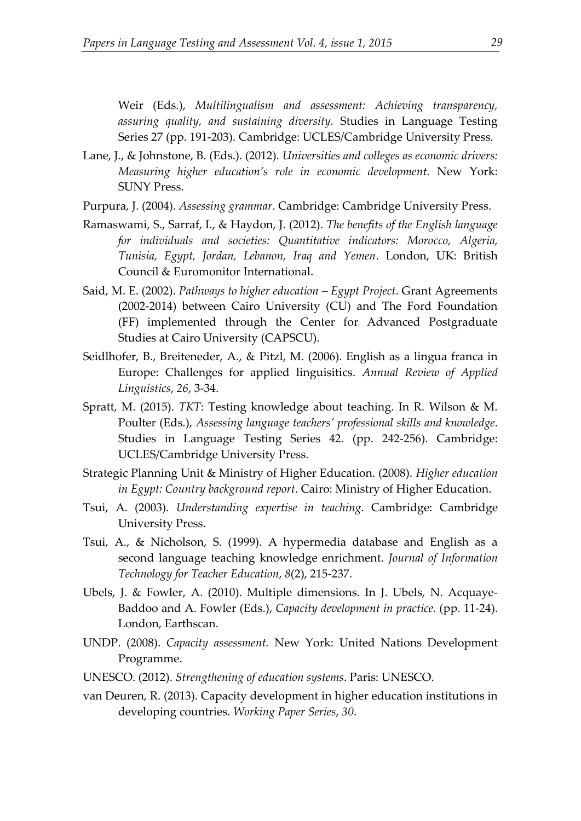Weir (Eds.), *Multilingualism and assessment: Achieving transparency, assuring quality, and sustaining diversity.* Studies in Language Testing Series 27 (pp. 191-203). Cambridge: UCLES/Cambridge University Press.

- Lane, J., & Johnstone, B. (Eds.). (2012). *Universities and colleges as economic drivers: Measuring higher education's role in economic development*. New York: SUNY Press.
- Purpura, J. (2004). *Assessing grammar*. Cambridge: Cambridge University Press.
- Ramaswami, S., Sarraf, I., & Haydon, J. (2012). *The benefits of the English language for individuals and societies: Quantitative indicators: Morocco, Algeria, Tunisia, Egypt, Jordan, Lebanon, Iraq and Yemen*. London, UK: British Council & Euromonitor International.
- Said, M. E. (2002). *Pathways to higher education – Egypt Project*. Grant Agreements (2002-2014) between Cairo University (CU) and The Ford Foundation (FF) implemented through the Center for Advanced Postgraduate Studies at Cairo University (CAPSCU).
- Seidlhofer, B., Breiteneder, A., & Pitzl, M. (2006). English as a lingua franca in Europe: Challenges for applied linguisitics. *Annual Review of Applied Linguistics*, *26*, 3-34.
- Spratt, M. (2015). *TKT*: Testing knowledge about teaching. In R. Wilson & M. Poulter (Eds.), *Assessing language teachers' professional skills and knowledge*. Studies in Language Testing Series 42. (pp. 242-256). Cambridge: UCLES/Cambridge University Press.
- Strategic Planning Unit & Ministry of Higher Education. (2008). *Higher education in Egypt: Country background report*. Cairo: Ministry of Higher Education.
- Tsui, A. (2003). *Understanding expertise in teaching*. Cambridge: Cambridge University Press.
- Tsui, A., & Nicholson, S. (1999). A hypermedia database and English as a second language teaching knowledge enrichment. *Journal of Information Technology for Teacher Education*, *8*(2), 215-237.
- Ubels, J. & Fowler, A. (2010). Multiple dimensions. In J. Ubels, N. Acquaye-Baddoo and A. Fowler (Eds.), *Capacity development in practice*. (pp. 11-24). London, Earthscan.
- UNDP. (2008). *Capacity assessment.* New York: United Nations Development Programme.
- UNESCO. (2012). *Strengthening of education systems*. Paris: UNESCO.
- van Deuren, R. (2013). Capacity development in higher education institutions in developing countries. *Working Paper Series*, *30*.